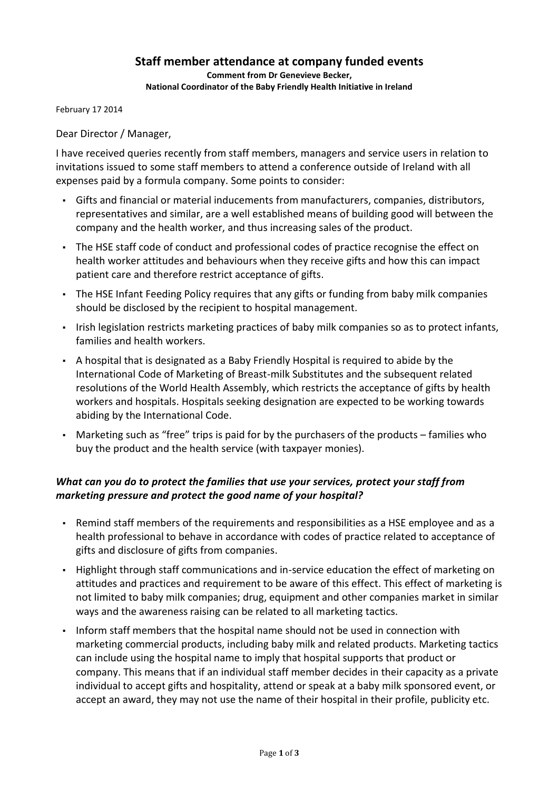# **Staff member attendance at company funded events**

**Comment from Dr Genevieve Becker, National Coordinator of the Baby Friendly Health Initiative in Ireland**

February 17 2014

Dear Director / Manager,

I have received queries recently from staff members, managers and service users in relation to invitations issued to some staff members to attend a conference outside of Ireland with all expenses paid by a formula company. Some points to consider:

- Gifts and financial or material inducements from manufacturers, companies, distributors, representatives and similar, are a well established means of building good will between the company and the health worker, and thus increasing sales of the product.
- The HSE staff code of conduct and professional codes of practice recognise the effect on health worker attitudes and behaviours when they receive gifts and how this can impact patient care and therefore restrict acceptance of gifts.
- The HSE Infant Feeding Policy requires that any gifts or funding from baby milk companies should be disclosed by the recipient to hospital management.
- Irish legislation restricts marketing practices of baby milk companies so as to protect infants, families and health workers.
- A hospital that is designated as a Baby Friendly Hospital is required to abide by the International Code of Marketing of Breast-milk Substitutes and the subsequent related resolutions of the World Health Assembly, which restricts the acceptance of gifts by health workers and hospitals. Hospitals seeking designation are expected to be working towards abiding by the International Code.
- Marketing such as "free" trips is paid for by the purchasers of the products families who buy the product and the health service (with taxpayer monies).

## *What can you do to protect the families that use your services, protect your staff from marketing pressure and protect the good name of your hospital?*

- Remind staff members of the requirements and responsibilities as a HSE employee and as a health professional to behave in accordance with codes of practice related to acceptance of gifts and disclosure of gifts from companies.
- Highlight through staff communications and in-service education the effect of marketing on attitudes and practices and requirement to be aware of this effect. This effect of marketing is not limited to baby milk companies; drug, equipment and other companies market in similar ways and the awareness raising can be related to all marketing tactics.
- Inform staff members that the hospital name should not be used in connection with marketing commercial products, including baby milk and related products. Marketing tactics can include using the hospital name to imply that hospital supports that product or company. This means that if an individual staff member decides in their capacity as a private individual to accept gifts and hospitality, attend or speak at a baby milk sponsored event, or accept an award, they may not use the name of their hospital in their profile, publicity etc.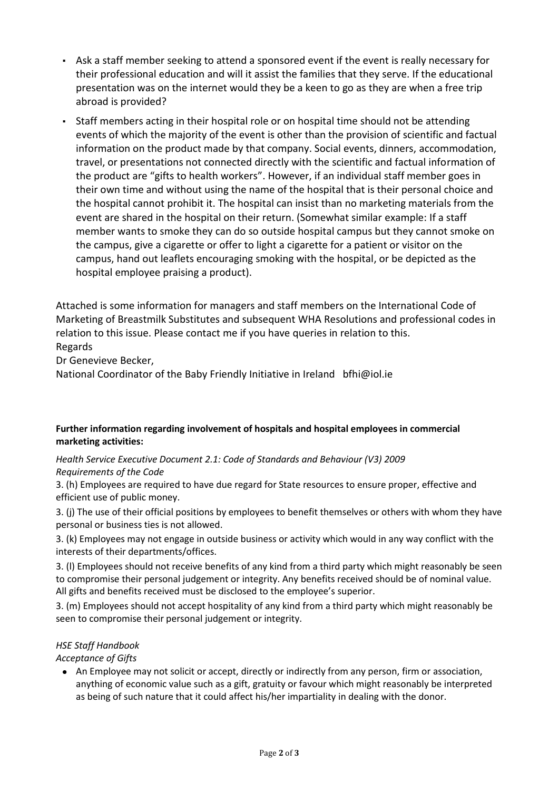- Ask a staff member seeking to attend a sponsored event if the event is really necessary for their professional education and will it assist the families that they serve. If the educational presentation was on the internet would they be a keen to go as they are when a free trip abroad is provided?
- Staff members acting in their hospital role or on hospital time should not be attending events of which the majority of the event is other than the provision of scientific and factual information on the product made by that company. Social events, dinners, accommodation, travel, or presentations not connected directly with the scientific and factual information of the product are "gifts to health workers". However, if an individual staff member goes in their own time and without using the name of the hospital that is their personal choice and the hospital cannot prohibit it. The hospital can insist than no marketing materials from the event are shared in the hospital on their return. (Somewhat similar example: If a staff member wants to smoke they can do so outside hospital campus but they cannot smoke on the campus, give a cigarette or offer to light a cigarette for a patient or visitor on the campus, hand out leaflets encouraging smoking with the hospital, or be depicted as the hospital employee praising a product).

Attached is some information for managers and staff members on the International Code of Marketing of Breastmilk Substitutes and subsequent WHA Resolutions and professional codes in relation to this issue. Please contact me if you have queries in relation to this. Regards

Dr Genevieve Becker,

National Coordinator of the Baby Friendly Initiative in Ireland bfhi@iol.ie

## **Further information regarding involvement of hospitals and hospital employees in commercial marketing activities:**

## *Health Service Executive Document 2.1: Code of Standards and Behaviour (V3) 2009 Requirements of the Code*

3. (h) Employees are required to have due regard for State resources to ensure proper, effective and efficient use of public money.

3. (j) The use of their official positions by employees to benefit themselves or others with whom they have personal or business ties is not allowed.

3. (k) Employees may not engage in outside business or activity which would in any way conflict with the interests of their departments/offices.

3. (l) Employees should not receive benefits of any kind from a third party which might reasonably be seen to compromise their personal judgement or integrity. Any benefits received should be of nominal value. All gifts and benefits received must be disclosed to the employee's superior.

3. (m) Employees should not accept hospitality of any kind from a third party which might reasonably be seen to compromise their personal judgement or integrity.

## *HSE Staff Handbook*

*Acceptance of Gifts* 

• An Employee may not solicit or accept, directly or indirectly from any person, firm or association, anything of economic value such as a gift, gratuity or favour which might reasonably be interpreted as being of such nature that it could affect his/her impartiality in dealing with the donor.